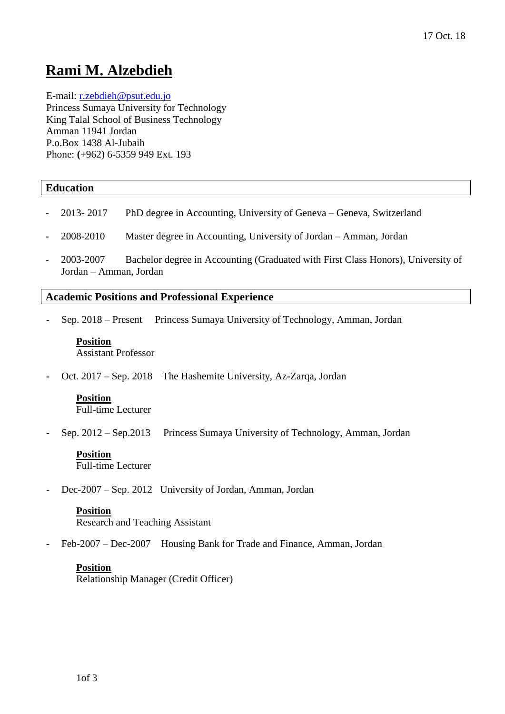# **Rami M. Alzebdieh**

E-mail: [r.zebdieh@psut.edu.jo](mailto:r.zebdieh@psut.edu.jo)

Princess Sumaya University for Technology King Talal School of Business Technology Amman 11941 Jordan P.o.Box 1438 Al-Jubaih Phone: **(**+962) 6-5359 949 Ext. 193

### **Education**

- 2013- 2017 PhD degree in Accounting, University of Geneva Geneva, Switzerland
- 2008-2010 Master degree in Accounting, University of Jordan Amman, Jordan
- 2003-2007 Bachelor degree in Accounting (Graduated with First Class Honors), University of Jordan – Amman, Jordan

### **Academic Positions and Professional Experience**

- Sep. 2018 – Present Princess Sumaya University of Technology, Amman, Jordan

# **Position**

Assistant Professor

- Oct. 2017 – Sep. 2018 The Hashemite University, Az-Zarqa, Jordan

## **Position**

Full-time Lecturer

Sep. 2012 – Sep. 2013 Princess Sumaya University of Technology, Amman, Jordan

### **Position**

Full-time Lecturer

Dec-2007 – Sep. 2012 University of Jordan, Amman, Jordan

#### **Position**

Research and Teaching Assistant

Feb-2007 – Dec-2007 Housing Bank for Trade and Finance, Amman, Jordan

#### **Position**

Relationship Manager (Credit Officer)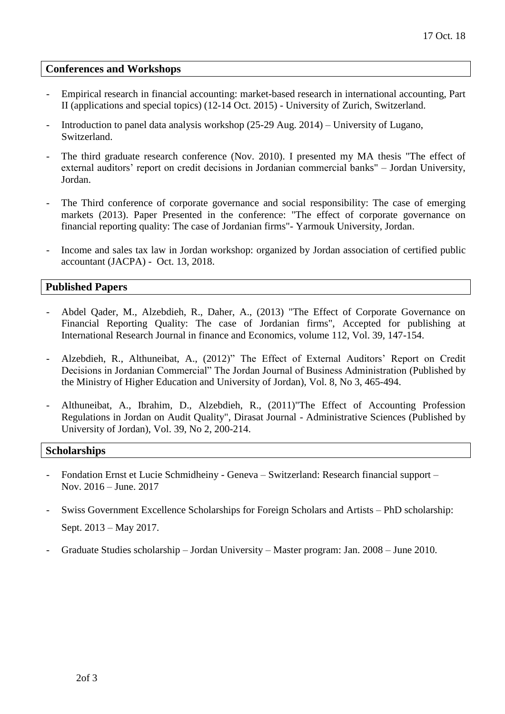#### **Conferences and Workshops**

- Empirical research in financial accounting: market-based research in international accounting, Part II (applications and special topics) (12-14 Oct. 2015) - University of Zurich, Switzerland.
- Introduction to panel data analysis workshop (25-29 Aug. 2014) University of Lugano, Switzerland.
- The third graduate research conference (Nov. 2010). I presented my MA thesis "The effect of external auditors' report on credit decisions in Jordanian commercial banks" – Jordan University, Jordan.
- The Third conference of corporate governance and social responsibility: The case of emerging markets (2013). Paper Presented in the conference: "The effect of corporate governance on financial reporting quality: The case of Jordanian firms"- Yarmouk University, Jordan.
- Income and sales tax law in Jordan workshop: organized by Jordan association of certified public accountant (JACPA) - Oct. 13, 2018.

#### **Published Papers**

- Abdel Qader, M., Alzebdieh, R., Daher, A., (2013) "The Effect of Corporate Governance on Financial Reporting Quality: The case of Jordanian firms", Accepted for publishing at International Research Journal in finance and Economics, volume 112, Vol. 39, 147-154.
- Alzebdieh, R., Althuneibat, A., (2012)" The Effect of External Auditors' Report on Credit Decisions in Jordanian Commercial" The Jordan Journal of Business Administration (Published by the Ministry of Higher Education and University of Jordan), Vol. 8, No 3, 465-494.
- Althuneibat, A., Ibrahim, D., Alzebdieh, R., (2011)"The Effect of Accounting Profession Regulations in Jordan on Audit Quality", Dirasat Journal - Administrative Sciences (Published by University of Jordan), Vol. 39, No 2, 200-214.

#### **Scholarships**

- Fondation Ernst et Lucie Schmidheiny Geneva Switzerland: Research financial support Nov. 2016 – June. 2017
- Swiss Government Excellence Scholarships for Foreign Scholars and Artists PhD scholarship: Sept. 2013 – May 2017.
- Graduate Studies scholarship Jordan University Master program: Jan. 2008 June 2010.